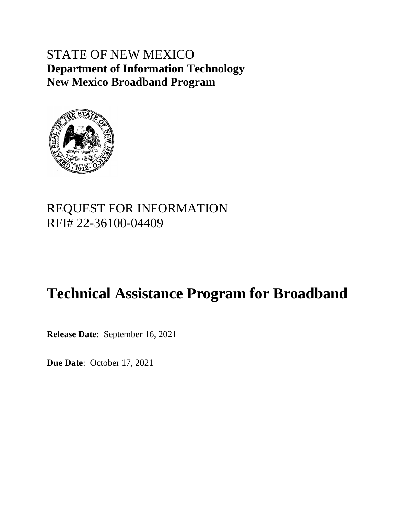# STATE OF NEW MEXICO **Department of Information Technology New Mexico Broadband Program**



# REQUEST FOR INFORMATION RFI# 22-36100-04409

# **Technical Assistance Program for Broadband**

**Release Date**: September 16, 2021

**Due Date**: October 17, 2021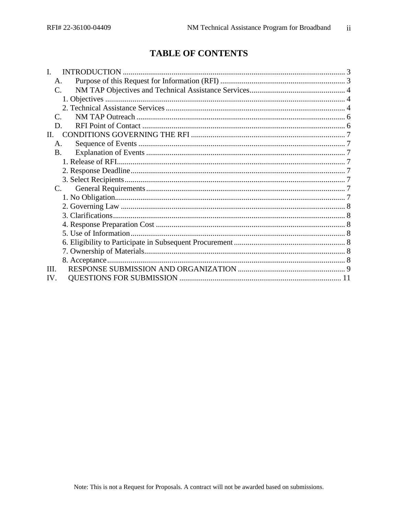# **TABLE OF CONTENTS**

| A.           |  |
|--------------|--|
| C.           |  |
|              |  |
|              |  |
| $\mathsf{C}$ |  |
| D.           |  |
| H.           |  |
| A.           |  |
| <b>B.</b>    |  |
|              |  |
|              |  |
|              |  |
|              |  |
|              |  |
|              |  |
|              |  |
|              |  |
|              |  |
|              |  |
|              |  |
|              |  |
| III.         |  |
| IV.          |  |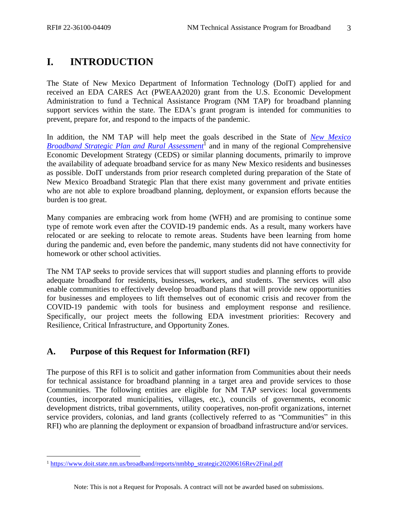# <span id="page-2-0"></span>**I. INTRODUCTION**

The State of New Mexico Department of Information Technology (DoIT) applied for and received an EDA CARES Act (PWEAA2020) grant from the U.S. Economic Development Administration to fund a Technical Assistance Program (NM TAP) for broadband planning support services within the state. The EDA's grant program is intended for communities to prevent, prepare for, and respond to the impacts of the pandemic.

In addition, the NM TAP will help meet the goals described in the State of *New [Mexico](https://www.doit.state.nm.us/broadband/reports/nmbbp_strategic20200616Rev2Final.pdf)*  **Broadband Strategic Plan [and Rural Assessment](https://www.doit.state.nm.us/broadband/reports/nmbbp_strategic20200616Rev2Final.pdf)<sup>1</sup> and in many of the regional Comprehensive** Economic Development Strategy (CEDS) or similar planning documents, primarily to improve the availability of adequate broadband service for as many New Mexico residents and businesses as possible. DoIT understands from prior research completed during preparation of the State of New Mexico Broadband Strategic Plan that there exist many government and private entities who are not able to explore broadband planning, deployment, or expansion efforts because the burden is too great.

Many companies are embracing work from home (WFH) and are promising to continue some type of remote work even after the COVID-19 pandemic ends. As a result, many workers have relocated or are seeking to relocate to remote areas. Students have been learning from home during the pandemic and, even before the pandemic, many students did not have connectivity for homework or other school activities.

The NM TAP seeks to provide services that will support studies and planning efforts to provide adequate broadband for residents, businesses, workers, and students. The services will also enable communities to effectively develop broadband plans that will provide new opportunities for businesses and employees to lift themselves out of economic crisis and recover from the COVID-19 pandemic with tools for business and employment response and resilience. Specifically, our project meets the following EDA investment priorities: Recovery and Resilience, Critical Infrastructure, and Opportunity Zones.

# <span id="page-2-1"></span>**A. Purpose of this Request for Information (RFI)**

The purpose of this RFI is to solicit and gather information from Communities about their needs for technical assistance for broadband planning in a target area and provide services to those Communities. The following entities are eligible for NM TAP services: local governments (counties, incorporated municipalities, villages, etc.), councils of governments, economic development districts, tribal governments, utility cooperatives, non-profit organizations, internet service providers, colonias, and land grants (collectively referred to as "Communities" in this RFI) who are planning the deployment or expansion of broadband infrastructure and/or services.

<sup>1</sup> [https://www.doit.state.nm.us/broadband/reports/nmbbp\\_strategic20200616Rev2Final.pdf](https://www.doit.state.nm.us/broadband/reports/nmbbp_strategic20200616Rev2Final.pdf)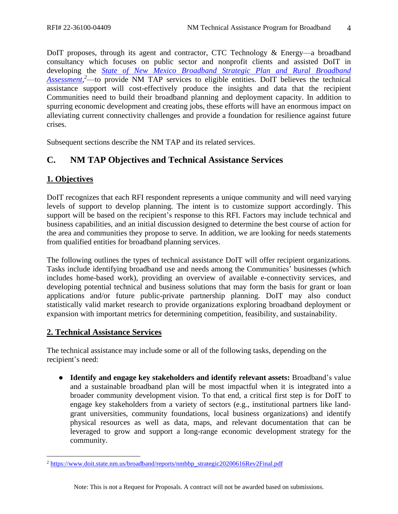DoIT proposes, through its agent and contractor, CTC Technology & Energy—a broadband consultancy which focuses on public sector and nonprofit clients and assisted DoIT in developing the *[State of New Mexico Broadband Strategic](https://www.doit.state.nm.us/broadband/reports/nmbbp_strategic20200616Rev2Final.pdf) Plan and Rural Broadband*  [Assessment,](https://www.doit.state.nm.us/broadband/reports/nmbbp_strategic20200616Rev2Final.pdf)<sup>2</sup>—to provide NM TAP services to eligible entities. DoIT believes the technical assistance support will cost-effectively produce the insights and data that the recipient Communities need to build their broadband planning and deployment capacity. In addition to spurring economic development and creating jobs, these efforts will have an enormous impact on alleviating current connectivity challenges and provide a foundation for resilience against future crises.

Subsequent sections describe the NM TAP and its related services.

# <span id="page-3-0"></span>**C. NM TAP Objectives and Technical Assistance Services**

# <span id="page-3-1"></span>**1. Objectives**

DoIT recognizes that each RFI respondent represents a unique community and will need varying levels of support to develop planning. The intent is to customize support accordingly. This support will be based on the recipient's response to this RFI. Factors may include technical and business capabilities, and an initial discussion designed to determine the best course of action for the area and communities they propose to serve. In addition, we are looking for needs statements from qualified entities for broadband planning services.

The following outlines the types of technical assistance DoIT will offer recipient organizations. Tasks include identifying broadband use and needs among the Communities' businesses (which includes home-based work), providing an overview of available e-connectivity services, and developing potential technical and business solutions that may form the basis for grant or loan applications and/or future public-private partnership planning. DoIT may also conduct statistically valid market research to provide organizations exploring broadband deployment or expansion with important metrics for determining competition, feasibility, and sustainability.

### <span id="page-3-2"></span>**2. Technical Assistance Services**

The technical assistance may include some or all of the following tasks, depending on the recipient's need:

● **Identify and engage key stakeholders and identify relevant assets:** Broadband's value and a sustainable broadband plan will be most impactful when it is integrated into a broader community development vision. To that end, a critical first step is for DoIT to engage key stakeholders from a variety of sectors (e.g., institutional partners like landgrant universities, community foundations, local business organizations) and identify physical resources as well as data, maps, and relevant documentation that can be leveraged to grow and support a long-range economic development strategy for the community.

<sup>2</sup> [https://www.doit.state.nm.us/broadband/reports/nmbbp\\_strategic20200616Rev2Final.pdf](https://www.doit.state.nm.us/broadband/reports/nmbbp_strategic20200616Rev2Final.pdf)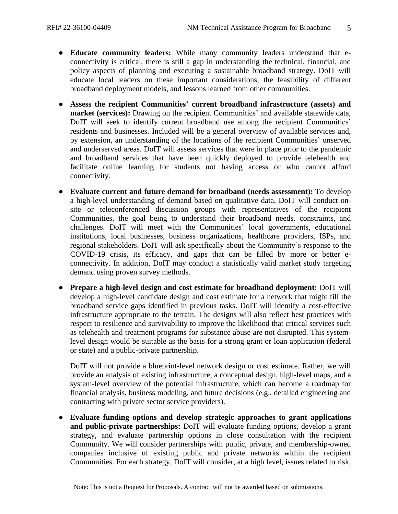- **Educate community leaders:** While many community leaders understand that econnectivity is critical, there is still a gap in understanding the technical, financial, and policy aspects of planning and executing a sustainable broadband strategy. DoIT will educate local leaders on these important considerations, the feasibility of different broadband deployment models, and lessons learned from other communities.
- **Assess the recipient Communities' current broadband infrastructure (assets) and market (services):** Drawing on the recipient Communities' and available statewide data, DoIT will seek to identify current broadband use among the recipient Communities' residents and businesses. Included will be a general overview of available services and, by extension, an understanding of the locations of the recipient Communities' unserved and underserved areas. DoIT will assess services that were in place prior to the pandemic and broadband services that have been quickly deployed to provide telehealth and facilitate online learning for students not having access or who cannot afford connectivity.
- **Evaluate current and future demand for broadband (needs assessment):** To develop a high-level understanding of demand based on qualitative data, DoIT will conduct onsite or teleconferenced discussion groups with representatives of the recipient Communities, the goal being to understand their broadband needs, constraints, and challenges. DoIT will meet with the Communities' local governments, educational institutions, local businesses, business organizations, healthcare providers, ISPs, and regional stakeholders. DoIT will ask specifically about the Community's response to the COVID-19 crisis, its efficacy, and gaps that can be filled by more or better econnectivity. In addition, DoIT may conduct a statistically valid market study targeting demand using proven survey methods.
- **Prepare a high-level design and cost estimate for broadband deployment:** DoIT will develop a high-level candidate design and cost estimate for a network that might fill the broadband service gaps identified in previous tasks. DoIT will identify a cost-effective infrastructure appropriate to the terrain. The designs will also reflect best practices with respect to resilience and survivability to improve the likelihood that critical services such as telehealth and treatment programs for substance abuse are not disrupted. This systemlevel design would be suitable as the basis for a strong grant or loan application (federal or state) and a public-private partnership.

DoIT will not provide a blueprint-level network design or cost estimate. Rather, we will provide an analysis of existing infrastructure, a conceptual design, high-level maps, and a system-level overview of the potential infrastructure, which can become a roadmap for financial analysis, business modeling, and future decisions (e.g., detailed engineering and contracting with private sector service providers).

● **Evaluate funding options and develop strategic approaches to grant applications and public-private partnerships:** DoIT will evaluate funding options, develop a grant strategy, and evaluate partnership options in close consultation with the recipient Community. We will consider partnerships with public, private, and membership-owned companies inclusive of existing public and private networks within the recipient Communities. For each strategy, DoIT will consider, at a high level, issues related to risk,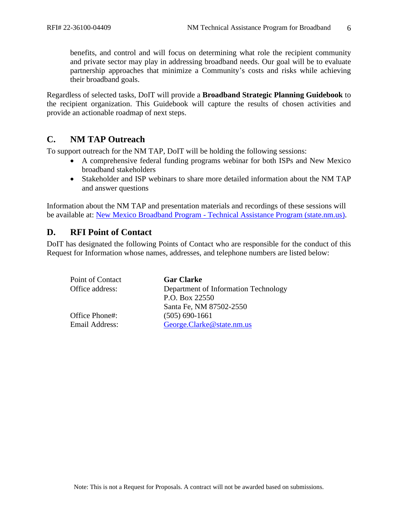benefits, and control and will focus on determining what role the recipient community and private sector may play in addressing broadband needs. Our goal will be to evaluate partnership approaches that minimize a Community's costs and risks while achieving their broadband goals.

Regardless of selected tasks, DoIT will provide a **Broadband Strategic Planning Guidebook** to the recipient organization. This Guidebook will capture the results of chosen activities and provide an actionable roadmap of next steps.

# <span id="page-5-0"></span>**C. NM TAP Outreach**

To support outreach for the NM TAP, DoIT will be holding the following sessions:

- A comprehensive federal funding programs webinar for both ISPs and New Mexico broadband stakeholders
- Stakeholder and ISP webinars to share more detailed information about the NM TAP and answer questions

Information about the NM TAP and presentation materials and recordings of these sessions will be available at: New Mexico Broadband Program - [Technical Assistance Program \(state.nm.us\).](https://www.doit.state.nm.us/broadband/tap.shtml)

# <span id="page-5-1"></span>**D. RFI Point of Contact**

DoIT has designated the following Points of Contact who are responsible for the conduct of this Request for Information whose names, addresses, and telephone numbers are listed below:

| Point of Contact | <b>Gar Clarke</b>                    |  |
|------------------|--------------------------------------|--|
| Office address:  | Department of Information Technology |  |
|                  | P.O. Box 22550                       |  |
|                  | Santa Fe, NM 87502-2550              |  |
| Office Phone#:   | $(505) 690 - 1661$                   |  |
| Email Address:   | George.Clarke@state.nm.us            |  |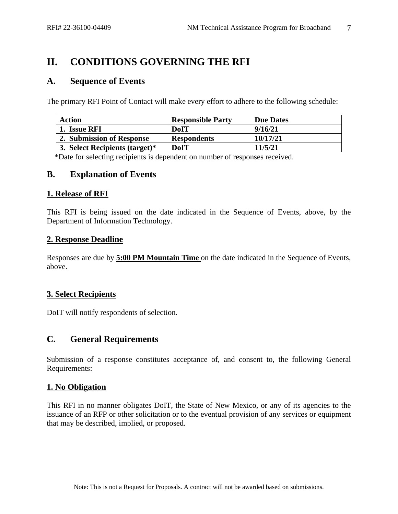# <span id="page-6-0"></span>**II. CONDITIONS GOVERNING THE RFI**

## <span id="page-6-1"></span>**A. Sequence of Events**

The primary RFI Point of Contact will make every effort to adhere to the following schedule:

| <b>Action</b>                  | <b>Responsible Party</b> | <b>Due Dates</b> |
|--------------------------------|--------------------------|------------------|
| 1. Issue RFI                   | <b>DoIT</b>              | 9/16/21          |
| 2. Submission of Response      | <b>Respondents</b>       | 10/17/21         |
| 3. Select Recipients (target)* | DoIT                     | 11/5/21          |

\*Date for selecting recipients is dependent on number of responses received.

### <span id="page-6-2"></span>**B. Explanation of Events**

#### <span id="page-6-3"></span>**1. Release of RFI**

This RFI is being issued on the date indicated in the Sequence of Events, above, by the Department of Information Technology.

#### <span id="page-6-4"></span>**2. Response Deadline**

Responses are due by **5:00 PM Mountain Time** on the date indicated in the Sequence of Events, above.

### <span id="page-6-5"></span>**3. Select Recipients**

DoIT will notify respondents of selection.

# <span id="page-6-6"></span>**C. General Requirements**

Submission of a response constitutes acceptance of, and consent to, the following General Requirements:

### <span id="page-6-7"></span>**1. No Obligation**

This RFI in no manner obligates DoIT, the State of New Mexico, or any of its agencies to the issuance of an RFP or other solicitation or to the eventual provision of any services or equipment that may be described, implied, or proposed.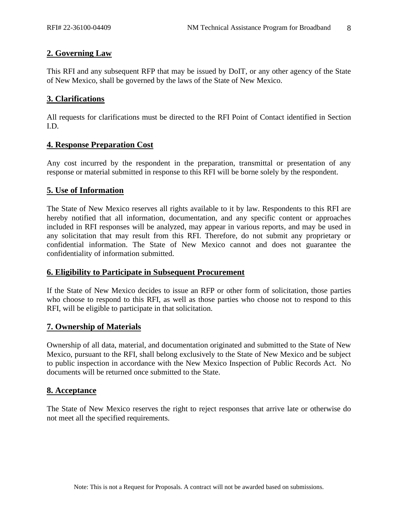## <span id="page-7-0"></span>**2. Governing Law**

This RFI and any subsequent RFP that may be issued by DoIT, or any other agency of the State of New Mexico, shall be governed by the laws of the State of New Mexico.

#### <span id="page-7-1"></span>**3. Clarifications**

All requests for clarifications must be directed to the RFI Point of Contact identified in Section I.D.

#### <span id="page-7-2"></span>**4. Response Preparation Cost**

Any cost incurred by the respondent in the preparation, transmittal or presentation of any response or material submitted in response to this RFI will be borne solely by the respondent.

### <span id="page-7-3"></span>**5. Use of Information**

The State of New Mexico reserves all rights available to it by law. Respondents to this RFI are hereby notified that all information, documentation, and any specific content or approaches included in RFI responses will be analyzed, may appear in various reports, and may be used in any solicitation that may result from this RFI. Therefore, do not submit any proprietary or confidential information. The State of New Mexico cannot and does not guarantee the confidentiality of information submitted.

#### <span id="page-7-4"></span>**6. Eligibility to Participate in Subsequent Procurement**

If the State of New Mexico decides to issue an RFP or other form of solicitation, those parties who choose to respond to this RFI, as well as those parties who choose not to respond to this RFI, will be eligible to participate in that solicitation.

### <span id="page-7-5"></span>**7. Ownership of Materials**

Ownership of all data, material, and documentation originated and submitted to the State of New Mexico, pursuant to the RFI, shall belong exclusively to the State of New Mexico and be subject to public inspection in accordance with the New Mexico Inspection of Public Records Act. No documents will be returned once submitted to the State.

#### <span id="page-7-6"></span>**8. Acceptance**

The State of New Mexico reserves the right to reject responses that arrive late or otherwise do not meet all the specified requirements.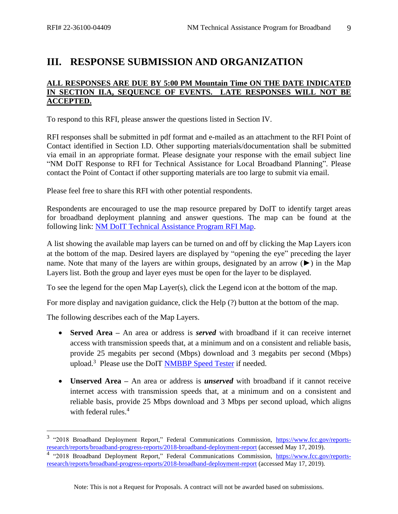# <span id="page-8-0"></span>**III. RESPONSE SUBMISSION AND ORGANIZATION**

#### **ALL RESPONSES ARE DUE BY 5:00 PM Mountain Time ON THE DATE INDICATED IN SECTION II.A, SEQUENCE OF EVENTS. LATE RESPONSES WILL NOT BE ACCEPTED.**

To respond to this RFI, please answer the questions listed in Section IV.

RFI responses shall be submitted in pdf format and e-mailed as an attachment to the RFI Point of Contact identified in Section I.D. Other supporting materials/documentation shall be submitted via email in an appropriate format. Please designate your response with the email subject line "NM DoIT Response to RFI for Technical Assistance for Local Broadband Planning". Please contact the Point of Contact if other supporting materials are too large to submit via email.

Please feel free to share this RFI with other potential respondents.

Respondents are encouraged to use the map resource prepared by DoIT to identify target areas for broadband deployment planning and answer questions. The map can be found at the following link: NM [DoIT Technical Assistance](https://experience.arcgis.com/experience/904f98acf58141fc9c14ef4452b7f58e) Program RFI Map.

A list showing the available map layers can be turned on and off by clicking the Map Layers icon at the bottom of the map. Desired layers are displayed by "opening the eye" preceding the layer name. Note that many of the layers are within groups, designated by an arrow (►) in the Map Layers list. Both the group and layer eyes must be open for the layer to be displayed.

To see the legend for the open Map Layer(s), click the Legend icon at the bottom of the map.

For more display and navigation guidance, click the Help (?) button at the bottom of the map.

The following describes each of the Map Layers.

- **Served Area –** An area or address is *served* with broadband if it can receive internet access with transmission speeds that, at a minimum and on a consistent and reliable basis, provide 25 megabits per second (Mbps) download and 3 megabits per second (Mbps) upload.<sup>3</sup> Please use the DoIT **NMBBP** Speed Tester if needed.
- **Unserved Area –** An area or address is *unserved* with broadband if it cannot receive internet access with transmission speeds that, at a minimum and on a consistent and reliable basis, provide 25 Mbps download and 3 Mbps per second upload, which aligns with federal rules. 4

<sup>&</sup>lt;sup>3</sup> "2018 Broadband Deployment Report," Federal Communications Commission, [https://www.fcc.gov/reports](https://www.fcc.gov/reports-research/reports/broadband-progress-reports/2018-broadband-deployment-report)[research/reports/broadband-progress-reports/2018-broadband-deployment-report](https://www.fcc.gov/reports-research/reports/broadband-progress-reports/2018-broadband-deployment-report) (accessed May 17, 2019).

<sup>&</sup>lt;sup>4</sup> "2018 Broadband Deployment Report," Federal Communications Commission, [https://www.fcc.gov/reports](https://www.fcc.gov/reports-research/reports/broadband-progress-reports/2018-broadband-deployment-report)[research/reports/broadband-progress-reports/2018-broadband-deployment-report](https://www.fcc.gov/reports-research/reports/broadband-progress-reports/2018-broadband-deployment-report) (accessed May 17, 2019).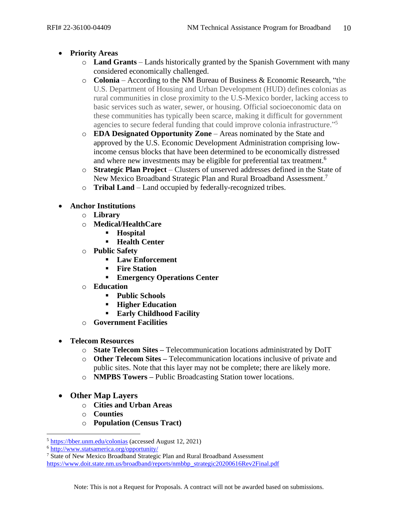- **Priority Areas**
	- o **Land Grants** Lands historically granted by the Spanish Government with many considered economically challenged.
	- o **Colonia** According to the NM Bureau of Business & Economic Research, "the U.S. Department of Housing and Urban Development (HUD) defines colonias as rural communities in close proximity to the U.S-Mexico border, lacking access to basic services such as water, sewer, or housing. Official socioeconomic data on these communities has typically been scarce, making it difficult for government agencies to secure federal funding that could improve colonia infrastructure."<sup>5</sup>
	- o **EDA Designated Opportunity Zone** Areas nominated by the State and approved by the U.S. Economic Development Administration comprising lowincome census blocks that have been determined to be economically distressed and where new investments may be eligible for preferential tax treatment.<sup>6</sup>
	- o **Strategic Plan Project** Clusters of unserved addresses defined in the State of New Mexico Broadband Strategic Plan and Rural Broadband Assessment.<sup>7</sup>
	- o **Tribal Land** Land occupied by federally-recognized tribes.
- **Anchor Institutions**
	- o **Library**
	- o **Medical/HealthCare** 
		- **Hospital**
		- **Health Center**
	- o **Public Safety**
		- **Law Enforcement**
		- **Fire Station**
		- **Emergency Operations Center**
	- o **Education**
		- **Public Schools**
		- **Higher Education**
		- **Early Childhood Facility**
	- o **Government Facilities**
- **Telecom Resources**
	- o **State Telecom Sites –** Telecommunication locations administrated by DoIT
	- o **Other Telecom Sites –** Telecommunication locations inclusive of private and public sites. Note that this layer may not be complete; there are likely more.
	- o **NMPBS Towers –** Public Broadcasting Station tower locations.
- **Other Map Layers**
	- o **Cities and Urban Areas**
	- o **Counties**
	- o **Population (Census Tract)**

<sup>5</sup> <https://bber.unm.edu/colonias> (accessed August 12, 2021)

<sup>6</sup> <http://www.statsamerica.org/opportunity/>

<sup>&</sup>lt;sup>7</sup> State of New Mexico Broadband Strategic Plan and Rural Broadband Assessment [https://www.doit.state.nm.us/broadband/reports/nmbbp\\_strategic20200616Rev2Final.pdf](https://www.doit.state.nm.us/broadband/reports/nmbbp_strategic20200616Rev2Final.pdf)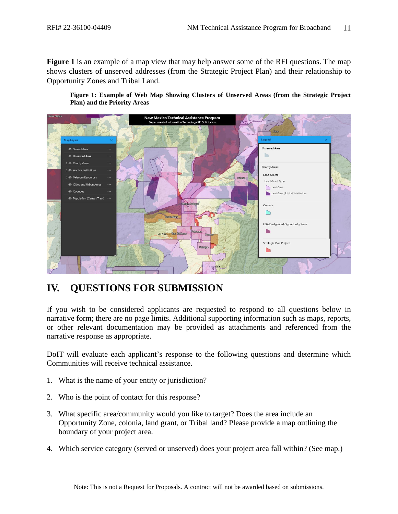**Figure 1** is an example of a map view that may help answer some of the RFI questions. The map shows clusters of unserved addresses (from the Strategic Project Plan) and their relationship to Opportunity Zones and Tribal Land.

**Figure 1: Example of Web Map Showing Clusters of Unserved Areas (from the Strategic Project Plan) and the Priority Areas**



# <span id="page-10-0"></span>**IV. QUESTIONS FOR SUBMISSION**

If you wish to be considered applicants are requested to respond to all questions below in narrative form; there are no page limits. Additional supporting information such as maps, reports, or other relevant documentation may be provided as attachments and referenced from the narrative response as appropriate.

DoIT will evaluate each applicant's response to the following questions and determine which Communities will receive technical assistance.

- 1. What is the name of your entity or jurisdiction?
- 2. Who is the point of contact for this response?
- 3. What specific area/community would you like to target? Does the area include an Opportunity Zone, colonia, land grant, or Tribal land? Please provide a map outlining the boundary of your project area.
- 4. Which service category (served or unserved) does your project area fall within? (See map.)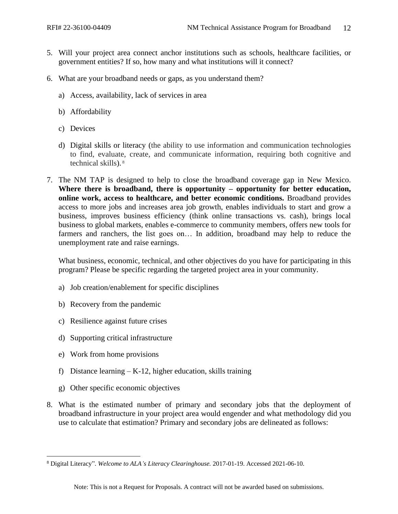- 5. Will your project area connect anchor institutions such as schools, healthcare facilities, or government entities? If so, how many and what institutions will it connect?
- 6. What are your broadband needs or gaps, as you understand them?
	- a) Access, availability, lack of services in area
	- b) Affordability
	- c) Devices
	- d) Digital skills or literacy (the ability to use information and communication technologies to find, evaluate, create, and communicate information, requiring both cognitive and technical skills). 8
- 7. The NM TAP is designed to help to close the broadband coverage gap in New Mexico. **Where there is broadband, there is opportunity – opportunity for better education, online work, access to healthcare, and better economic conditions.** Broadband provides access to more jobs and increases area job growth, enables individuals to start and grow a business, improves business efficiency (think online transactions vs. cash), brings local business to global markets, enables e-commerce to community members, offers new tools for farmers and ranchers, the list goes on… In addition, broadband may help to reduce the unemployment rate and raise earnings.

What business, economic, technical, and other objectives do you have for participating in this program? Please be specific regarding the targeted project area in your community.

- a) Job creation/enablement for specific disciplines
- b) Recovery from the pandemic
- c) Resilience against future crises
- d) Supporting critical infrastructure
- e) Work from home provisions
- f) Distance learning  $-K-12$ , higher education, skills training
- g) Other specific economic objectives
- 8. What is the estimated number of primary and secondary jobs that the deployment of broadband infrastructure in your project area would engender and what methodology did you use to calculate that estimation? Primary and secondary jobs are delineated as follows:

<sup>8</sup> Digital Literacy". *Welcome to ALA's Literacy Clearinghouse.* 2017-01-19. Accessed 2021-06-10.